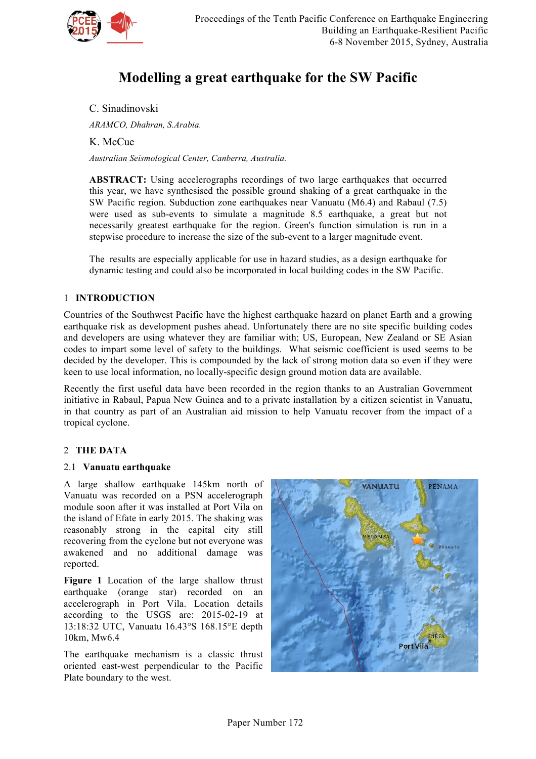

# **Modelling a great earthquake for the SW Pacific**

# C. Sinadinovski

*ARAMCO, Dhahran, S.Arabia.*

K. McCue

*Australian Seismological Center, Canberra, Australia.*

**ABSTRACT:** Using accelerographs recordings of two large earthquakes that occurred this year, we have synthesised the possible ground shaking of a great earthquake in the SW Pacific region. Subduction zone earthquakes near Vanuatu (M6.4) and Rabaul (7.5) were used as sub-events to simulate a magnitude 8.5 earthquake, a great but not necessarily greatest earthquake for the region. Green's function simulation is run in a stepwise procedure to increase the size of the sub-event to a larger magnitude event.

The results are especially applicable for use in hazard studies, as a design earthquake for dynamic testing and could also be incorporated in local building codes in the SW Pacific.

## 1 **INTRODUCTION**

Countries of the Southwest Pacific have the highest earthquake hazard on planet Earth and a growing earthquake risk as development pushes ahead. Unfortunately there are no site specific building codes and developers are using whatever they are familiar with; US, European, New Zealand or SE Asian codes to impart some level of safety to the buildings. What seismic coefficient is used seems to be decided by the developer. This is compounded by the lack of strong motion data so even if they were keen to use local information, no locally-specific design ground motion data are available.

Recently the first useful data have been recorded in the region thanks to an Australian Government initiative in Rabaul, Papua New Guinea and to a private installation by a citizen scientist in Vanuatu, in that country as part of an Australian aid mission to help Vanuatu recover from the impact of a tropical cyclone.

# 2 **THE DATA**

#### 2.1 **Vanuatu earthquake**

A large shallow earthquake 145km north of Vanuatu was recorded on a PSN accelerograph module soon after it was installed at Port Vila on the island of Efate in early 2015. The shaking was reasonably strong in the capital city still recovering from the cyclone but not everyone was awakened and no additional damage was reported.

**Figure 1** Location of the large shallow thrust earthquake (orange star) recorded on an accelerograph in Port Vila. Location details according to the USGS are: 2015-02-19 at 13:18:32 UTC, Vanuatu 16.43°S 168.15°E depth 10km, Mw6.4

The earthquake mechanism is a classic thrust oriented east-west perpendicular to the Pacific Plate boundary to the west.

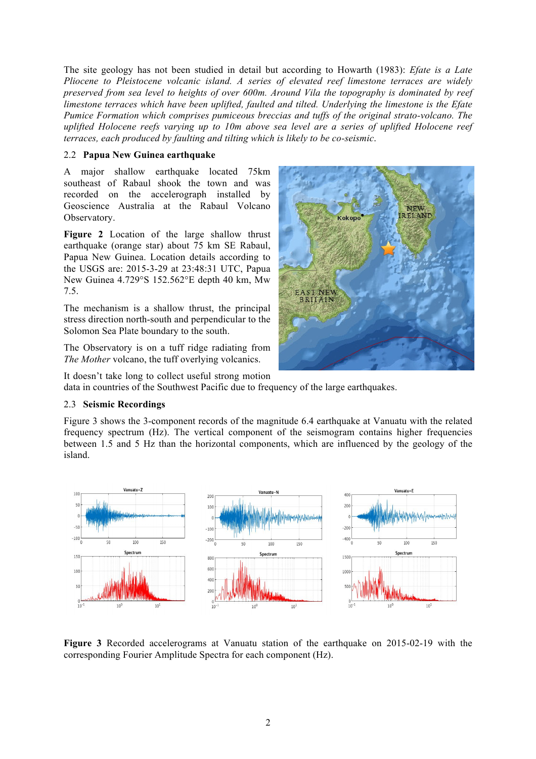The site geology has not been studied in detail but according to Howarth (1983): *Efate is a Late Pliocene to Pleistocene volcanic island. A series of elevated reef limestone terraces are widely preserved from sea level to heights of over 600m. Around Vila the topography is dominated by reef limestone terraces which have been uplifted, faulted and tilted. Underlying the limestone is the Efate Pumice Formation which comprises pumiceous breccias and tuffs of the original strato-volcano. The uplifted Holocene reefs varying up to 10m above sea level are a series of uplifted Holocene reef terraces, each produced by faulting and tilting which is likely to be co-seismic*.

#### 2.2 **Papua New Guinea earthquake**

A major shallow earthquake located 75km southeast of Rabaul shook the town and was recorded on the accelerograph installed by Geoscience Australia at the Rabaul Volcano Observatory.

**Figure 2** Location of the large shallow thrust earthquake (orange star) about 75 km SE Rabaul, Papua New Guinea. Location details according to the USGS are: 2015-3-29 at 23:48:31 UTC, Papua New Guinea 4.729°S 152.562°E depth 40 km, Mw 7.5.

The mechanism is a shallow thrust, the principal stress direction north-south and perpendicular to the Solomon Sea Plate boundary to the south.

The Observatory is on a tuff ridge radiating from *The Mother* volcano, the tuff overlying volcanics.

**RELAN ST NFW** 

It doesn't take long to collect useful strong motion data in countries of the Southwest Pacific due to frequency of the large earthquakes.

#### 2.3 **Seismic Recordings**

Figure 3 shows the 3-component records of the magnitude 6.4 earthquake at Vanuatu with the related frequency spectrum (Hz). The vertical component of the seismogram contains higher frequencies between 1.5 and 5 Hz than the horizontal components, which are influenced by the geology of the island.



**Figure 3** Recorded accelerograms at Vanuatu station of the earthquake on 2015-02-19 with the corresponding Fourier Amplitude Spectra for each component (Hz).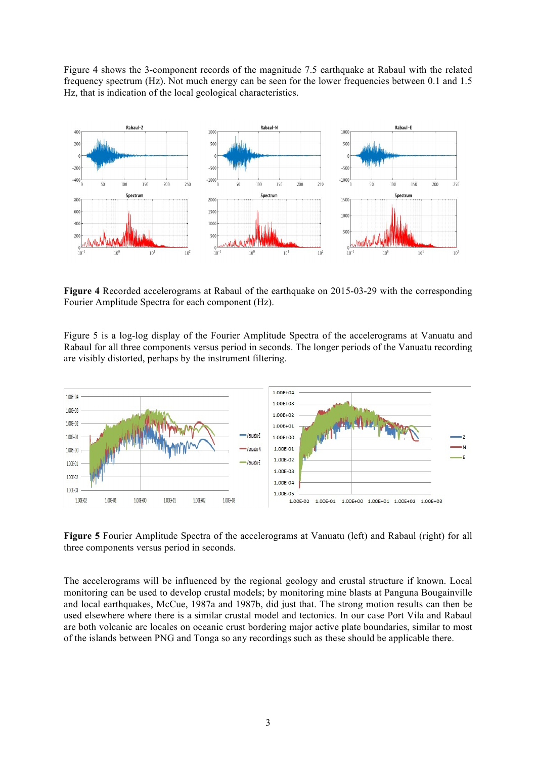Figure 4 shows the 3-component records of the magnitude 7.5 earthquake at Rabaul with the related frequency spectrum (Hz). Not much energy can be seen for the lower frequencies between 0.1 and 1.5 Hz, that is indication of the local geological characteristics.



**Figure 4** Recorded accelerograms at Rabaul of the earthquake on 2015-03-29 with the corresponding Fourier Amplitude Spectra for each component (Hz).

Figure 5 is a log-log display of the Fourier Amplitude Spectra of the accelerograms at Vanuatu and Rabaul for all three components versus period in seconds. The longer periods of the Vanuatu recording are visibly distorted, perhaps by the instrument filtering.



**Figure 5** Fourier Amplitude Spectra of the accelerograms at Vanuatu (left) and Rabaul (right) for all three components versus period in seconds.

The accelerograms will be influenced by the regional geology and crustal structure if known. Local monitoring can be used to develop crustal models; by monitoring mine blasts at Panguna Bougainville and local earthquakes, McCue, 1987a and 1987b, did just that. The strong motion results can then be used elsewhere where there is a similar crustal model and tectonics. In our case Port Vila and Rabaul are both volcanic arc locales on oceanic crust bordering major active plate boundaries, similar to most of the islands between PNG and Tonga so any recordings such as these should be applicable there.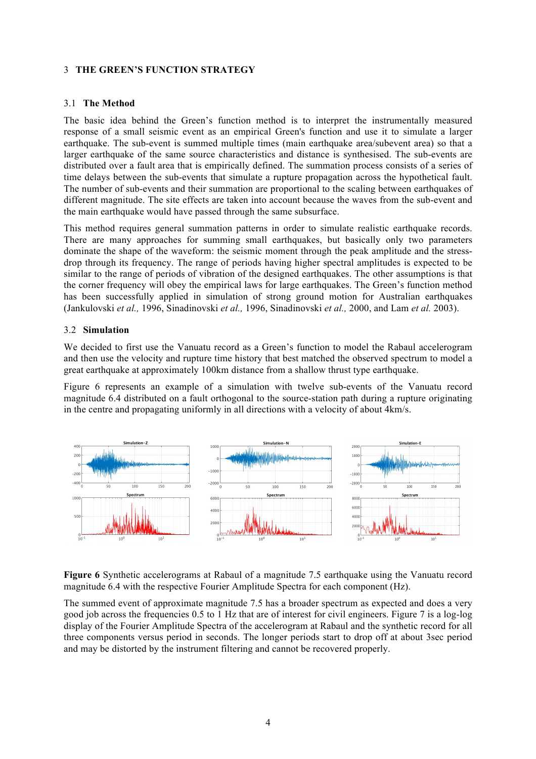### 3 **THE GREEN'S FUNCTION STRATEGY**

#### 3.1 **The Method**

The basic idea behind the Green's function method is to interpret the instrumentally measured response of a small seismic event as an empirical Green's function and use it to simulate a larger earthquake. The sub-event is summed multiple times (main earthquake area/subevent area) so that a larger earthquake of the same source characteristics and distance is synthesised. The sub-events are distributed over a fault area that is empirically defined. The summation process consists of a series of time delays between the sub-events that simulate a rupture propagation across the hypothetical fault. The number of sub-events and their summation are proportional to the scaling between earthquakes of different magnitude. The site effects are taken into account because the waves from the sub-event and the main earthquake would have passed through the same subsurface.

This method requires general summation patterns in order to simulate realistic earthquake records. There are many approaches for summing small earthquakes, but basically only two parameters dominate the shape of the waveform: the seismic moment through the peak amplitude and the stressdrop through its frequency. The range of periods having higher spectral amplitudes is expected to be similar to the range of periods of vibration of the designed earthquakes. The other assumptions is that the corner frequency will obey the empirical laws for large earthquakes. The Green's function method has been successfully applied in simulation of strong ground motion for Australian earthquakes (Jankulovski *et al.,* 1996, Sinadinovski *et al.,* 1996, Sinadinovski *et al.,* 2000, and Lam *et al.* 2003).

#### 3.2 **Simulation**

We decided to first use the Vanuatu record as a Green's function to model the Rabaul accelerogram and then use the velocity and rupture time history that best matched the observed spectrum to model a great earthquake at approximately 100km distance from a shallow thrust type earthquake.

Figure 6 represents an example of a simulation with twelve sub-events of the Vanuatu record magnitude 6.4 distributed on a fault orthogonal to the source-station path during a rupture originating in the centre and propagating uniformly in all directions with a velocity of about 4km/s.



**Figure 6** Synthetic accelerograms at Rabaul of a magnitude 7.5 earthquake using the Vanuatu record magnitude 6.4 with the respective Fourier Amplitude Spectra for each component (Hz).

The summed event of approximate magnitude 7.5 has a broader spectrum as expected and does a very good job across the frequencies 0.5 to 1 Hz that are of interest for civil engineers. Figure 7 is a log-log display of the Fourier Amplitude Spectra of the accelerogram at Rabaul and the synthetic record for all three components versus period in seconds. The longer periods start to drop off at about 3sec period and may be distorted by the instrument filtering and cannot be recovered properly.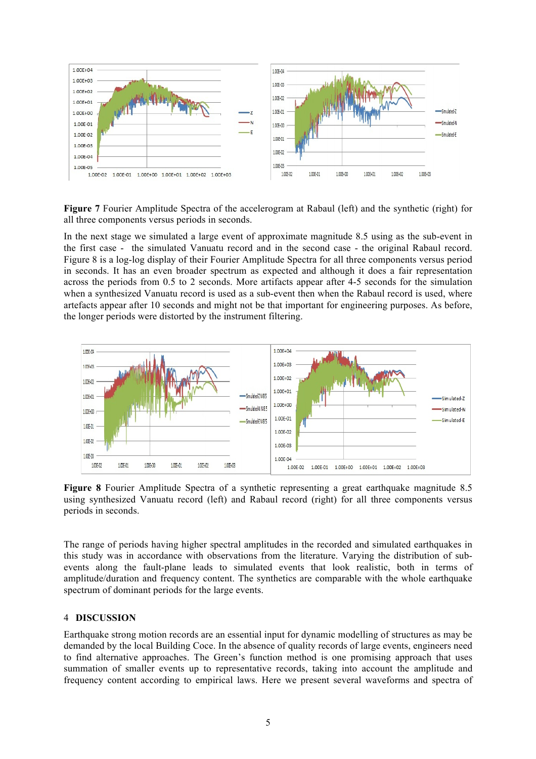

**Figure 7** Fourier Amplitude Spectra of the accelerogram at Rabaul (left) and the synthetic (right) for all three components versus periods in seconds.

In the next stage we simulated a large event of approximate magnitude 8.5 using as the sub-event in the first case - the simulated Vanuatu record and in the second case - the original Rabaul record. Figure 8 is a log-log display of their Fourier Amplitude Spectra for all three components versus period in seconds. It has an even broader spectrum as expected and although it does a fair representation across the periods from 0.5 to 2 seconds. More artifacts appear after 4-5 seconds for the simulation when a synthesized Vanuatu record is used as a sub-event then when the Rabaul record is used, where artefacts appear after 10 seconds and might not be that important for engineering purposes. As before, the longer periods were distorted by the instrument filtering.



**Figure 8** Fourier Amplitude Spectra of a synthetic representing a great earthquake magnitude 8.5 using synthesized Vanuatu record (left) and Rabaul record (right) for all three components versus periods in seconds.

The range of periods having higher spectral amplitudes in the recorded and simulated earthquakes in this study was in accordance with observations from the literature. Varying the distribution of subevents along the fault-plane leads to simulated events that look realistic, both in terms of amplitude/duration and frequency content. The synthetics are comparable with the whole earthquake spectrum of dominant periods for the large events.

#### 4 **DISCUSSION**

Earthquake strong motion records are an essential input for dynamic modelling of structures as may be demanded by the local Building Coce. In the absence of quality records of large events, engineers need to find alternative approaches. The Green's function method is one promising approach that uses summation of smaller events up to representative records, taking into account the amplitude and frequency content according to empirical laws. Here we present several waveforms and spectra of